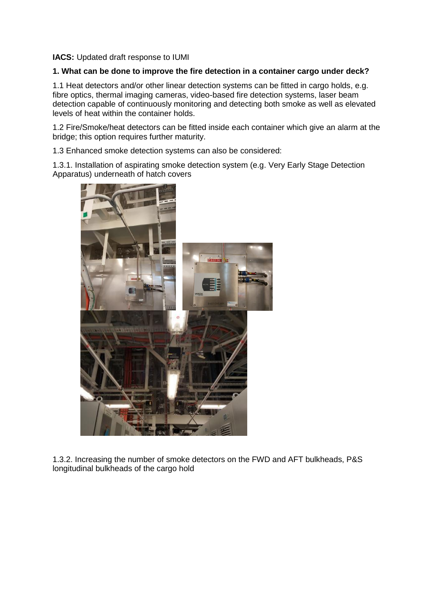**IACS:** Updated draft response to IUMI

# **1. What can be done to improve the fire detection in a container cargo under deck?**

1.1 Heat detectors and/or other linear detection systems can be fitted in cargo holds, e.g. fibre optics, thermal imaging cameras, video-based fire detection systems, laser beam detection capable of continuously monitoring and detecting both smoke as well as elevated levels of heat within the container holds.

1.2 Fire/Smoke/heat detectors can be fitted inside each container which give an alarm at the bridge; this option requires further maturity.

1.3 Enhanced smoke detection systems can also be considered:

1.3.1. Installation of aspirating smoke detection system (e.g. Very Early Stage Detection Apparatus) underneath of hatch covers



1.3.2. Increasing the number of smoke detectors on the FWD and AFT bulkheads, P&S longitudinal bulkheads of the cargo hold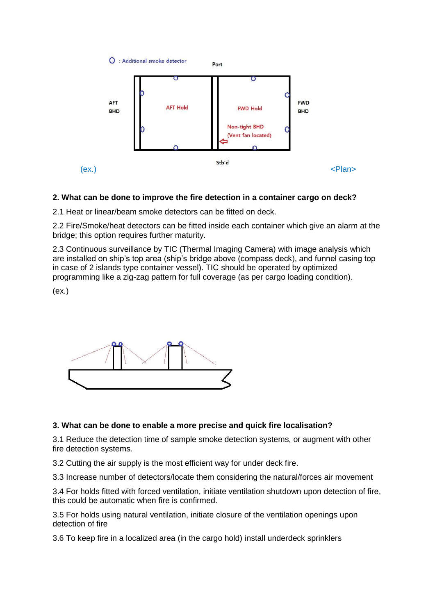

# **2. What can be done to improve the fire detection in a container cargo on deck?**

2.1 Heat or linear/beam smoke detectors can be fitted on deck.

2.2 Fire/Smoke/heat detectors can be fitted inside each container which give an alarm at the bridge; this option requires further maturity.

2.3 Continuous surveillance by TIC (Thermal Imaging Camera) with image analysis which are installed on ship's top area (ship's bridge above (compass deck), and funnel casing top in case of 2 islands type container vessel). TIC should be operated by optimized programming like a zig-zag pattern for full coverage (as per cargo loading condition).

(ex.)



# **3. What can be done to enable a more precise and quick fire localisation?**

3.1 Reduce the detection time of sample smoke detection systems, or augment with other fire detection systems.

3.2 Cutting the air supply is the most efficient way for under deck fire.

3.3 Increase number of detectors/locate them considering the natural/forces air movement

3.4 For holds fitted with forced ventilation, initiate ventilation shutdown upon detection of fire, this could be automatic when fire is confirmed.

3.5 For holds using natural ventilation, initiate closure of the ventilation openings upon detection of fire

3.6 To keep fire in a localized area (in the cargo hold) install underdeck sprinklers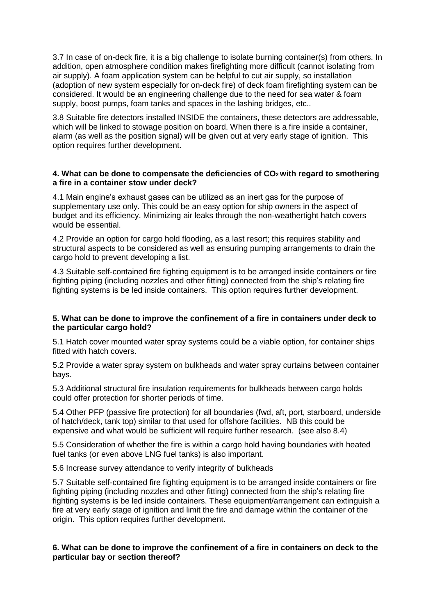3.7 In case of on-deck fire, it is a big challenge to isolate burning container(s) from others. In addition, open atmosphere condition makes firefighting more difficult (cannot isolating from air supply). A foam application system can be helpful to cut air supply, so installation (adoption of new system especially for on-deck fire) of deck foam firefighting system can be considered. It would be an engineering challenge due to the need for sea water & foam supply, boost pumps, foam tanks and spaces in the lashing bridges, etc..

3.8 Suitable fire detectors installed INSIDE the containers, these detectors are addressable, which will be linked to stowage position on board. When there is a fire inside a container. alarm (as well as the position signal) will be given out at very early stage of ignition. This option requires further development.

## **4. What can be done to compensate the deficiencies of CO2 with regard to smothering a fire in a container stow under deck?**

4.1 Main engine's exhaust gases can be utilized as an inert gas for the purpose of supplementary use only. This could be an easy option for ship owners in the aspect of budget and its efficiency. Minimizing air leaks through the non-weathertight hatch covers would be essential.

4.2 Provide an option for cargo hold flooding, as a last resort; this requires stability and structural aspects to be considered as well as ensuring pumping arrangements to drain the cargo hold to prevent developing a list.

4.3 Suitable self-contained fire fighting equipment is to be arranged inside containers or fire fighting piping (including nozzles and other fitting) connected from the ship's relating fire fighting systems is be led inside containers. This option requires further development.

#### **5. What can be done to improve the confinement of a fire in containers under deck to the particular cargo hold?**

5.1 Hatch cover mounted water spray systems could be a viable option, for container ships fitted with hatch covers.

5.2 Provide a water spray system on bulkheads and water spray curtains between container bays.

5.3 Additional structural fire insulation requirements for bulkheads between cargo holds could offer protection for shorter periods of time.

5.4 Other PFP (passive fire protection) for all boundaries (fwd, aft, port, starboard, underside of hatch/deck, tank top) similar to that used for offshore facilities. NB this could be expensive and what would be sufficient will require further research. (see also 8.4)

5.5 Consideration of whether the fire is within a cargo hold having boundaries with heated fuel tanks (or even above LNG fuel tanks) is also important.

5.6 Increase survey attendance to verify integrity of bulkheads

5.7 Suitable self-contained fire fighting equipment is to be arranged inside containers or fire fighting piping (including nozzles and other fitting) connected from the ship's relating fire fighting systems is be led inside containers. These equipment/arrangement can extinguish a fire at very early stage of ignition and limit the fire and damage within the container of the origin. This option requires further development.

#### **6. What can be done to improve the confinement of a fire in containers on deck to the particular bay or section thereof?**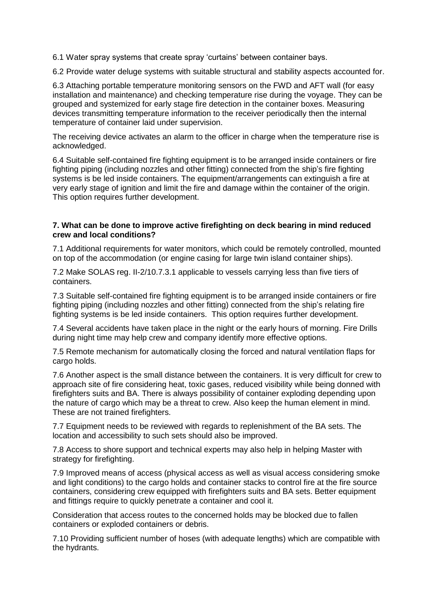6.1 Water spray systems that create spray 'curtains' between container bays.

6.2 Provide water deluge systems with suitable structural and stability aspects accounted for.

6.3 Attaching portable temperature monitoring sensors on the FWD and AFT wall (for easy installation and maintenance) and checking temperature rise during the voyage. They can be grouped and systemized for early stage fire detection in the container boxes. Measuring devices transmitting temperature information to the receiver periodically then the internal temperature of container laid under supervision.

The receiving device activates an alarm to the officer in charge when the temperature rise is acknowledged.

6.4 Suitable self-contained fire fighting equipment is to be arranged inside containers or fire fighting piping (including nozzles and other fitting) connected from the ship's fire fighting systems is be led inside containers. The equipment/arrangements can extinguish a fire at very early stage of ignition and limit the fire and damage within the container of the origin. This option requires further development.

#### **7. What can be done to improve active firefighting on deck bearing in mind reduced crew and local conditions?**

7.1 Additional requirements for water monitors, which could be remotely controlled, mounted on top of the accommodation (or engine casing for large twin island container ships).

7.2 Make SOLAS reg. II-2/10.7.3.1 applicable to vessels carrying less than five tiers of containers.

7.3 Suitable self-contained fire fighting equipment is to be arranged inside containers or fire fighting piping (including nozzles and other fitting) connected from the ship's relating fire fighting systems is be led inside containers. This option requires further development.

7.4 Several accidents have taken place in the night or the early hours of morning. Fire Drills during night time may help crew and company identify more effective options.

7.5 Remote mechanism for automatically closing the forced and natural ventilation flaps for cargo holds.

7.6 Another aspect is the small distance between the containers. It is very difficult for crew to approach site of fire considering heat, toxic gases, reduced visibility while being donned with firefighters suits and BA. There is always possibility of container exploding depending upon the nature of cargo which may be a threat to crew. Also keep the human element in mind. These are not trained firefighters.

7.7 Equipment needs to be reviewed with regards to replenishment of the BA sets. The location and accessibility to such sets should also be improved.

7.8 Access to shore support and technical experts may also help in helping Master with strategy for firefighting.

7.9 Improved means of access (physical access as well as visual access considering smoke and light conditions) to the cargo holds and container stacks to control fire at the fire source containers, considering crew equipped with firefighters suits and BA sets. Better equipment and fittings require to quickly penetrate a container and cool it.

Consideration that access routes to the concerned holds may be blocked due to fallen containers or exploded containers or debris.

7.10 Providing sufficient number of hoses (with adequate lengths) which are compatible with the hydrants.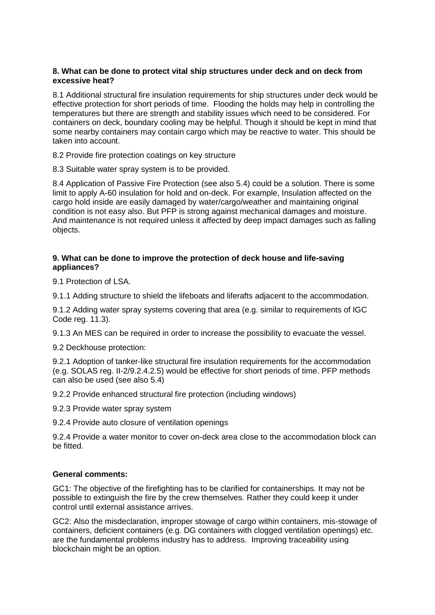# **8. What can be done to protect vital ship structures under deck and on deck from excessive heat?**

8.1 Additional structural fire insulation requirements for ship structures under deck would be effective protection for short periods of time. Flooding the holds may help in controlling the temperatures but there are strength and stability issues which need to be considered. For containers on deck, boundary cooling may be helpful. Though it should be kept in mind that some nearby containers may contain cargo which may be reactive to water. This should be taken into account.

8.2 Provide fire protection coatings on key structure

8.3 Suitable water spray system is to be provided.

8.4 Application of Passive Fire Protection (see also 5.4) could be a solution. There is some limit to apply A-60 insulation for hold and on-deck. For example, Insulation affected on the cargo hold inside are easily damaged by water/cargo/weather and maintaining original condition is not easy also. But PFP is strong against mechanical damages and moisture. And maintenance is not required unless it affected by deep impact damages such as falling objects.

#### **9. What can be done to improve the protection of deck house and life-saving appliances?**

9.1 Protection of LSA.

9.1.1 Adding structure to shield the lifeboats and liferafts adjacent to the accommodation.

9.1.2 Adding water spray systems covering that area (e.g. similar to requirements of IGC Code reg. 11.3).

9.1.3 An MES can be required in order to increase the possibility to evacuate the vessel.

9.2 Deckhouse protection:

9.2.1 Adoption of tanker-like structural fire insulation requirements for the accommodation (e.g. SOLAS reg. II-2/9.2.4.2.5) would be effective for short periods of time. PFP methods can also be used (see also 5.4)

9.2.2 Provide enhanced structural fire protection (including windows)

9.2.3 Provide water spray system

9.2.4 Provide auto closure of ventilation openings

9.2.4 Provide a water monitor to cover on-deck area close to the accommodation block can be fitted.

# **General comments:**

GC1: The objective of the firefighting has to be clarified for containerships. It may not be possible to extinguish the fire by the crew themselves. Rather they could keep it under control until external assistance arrives.

GC2: Also the misdeclaration, improper stowage of cargo within containers, mis-stowage of containers, deficient containers (e.g. DG containers with clogged ventilation openings) etc. are the fundamental problems industry has to address. Improving traceability using blockchain might be an option.